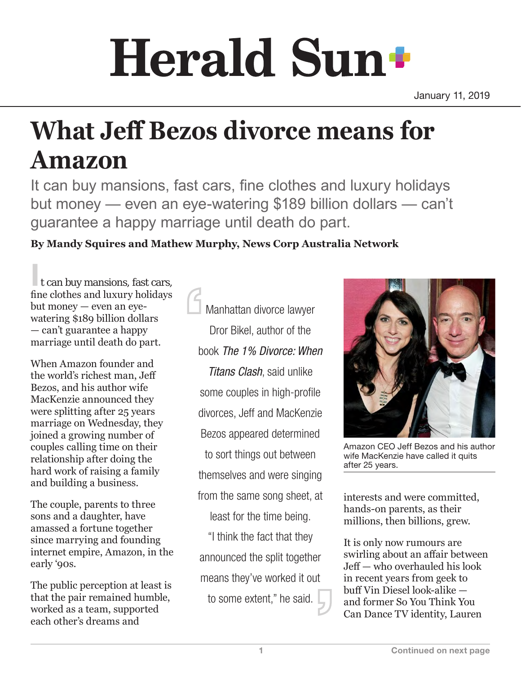## Herald Sun<sup>+</sup>

January 11, 2019

## **What Jeff Bezos divorce means for Amazon**

It can buy mansions, fast cars, fine clothes and luxury holidays but money — even an eye-watering \$189 billion dollars — can't guarantee a happy marriage until death do part.

## **By Mandy Squires and Mathew Murphy, News Corp Australia Network**

 $\blacksquare$  t can buy mansions, fast cars, fine clothes and luxury holidays but money — even an eyewatering \$189 billion dollars — can't guarantee a happy marriage until death do part.

When Amazon founder and the world's richest man, Jeff Bezos, and his author wife MacKenzie announced they were splitting after 25 years marriage on Wednesday, they joined a growing number of couples calling time on their relationship after doing the hard work of raising a family and building a business.

The couple, parents to three sons and a daughter, have amassed a fortune together since marrying and founding internet empire, Amazon, in the early '90s.

The public perception at least is that the pair remained humble, worked as a team, supported each other's dreams and

Manhattan divorce lawyer Dror Bikel, author of the book *The 1% Divorce: When Titans Clash*, said unlike some couples in high-profile divorces, Jeff and MacKenzie Bezos appeared determined to sort things out between themselves and were singing from the same song sheet, at least for the time being. "I think the fact that they announced the split together means they've worked it out to some extent," he said.



Amazon CEO Jeff Bezos and his author wife MacKenzie have called it quits after 25 years.

interests and were committed, hands-on parents, as their millions, then billions, grew.

It is only now rumours are swirling about an affair between Jeff — who overhauled his look in recent years from geek to buff Vin Diesel look-alike and former So You Think You Can Dance TV identity, Lauren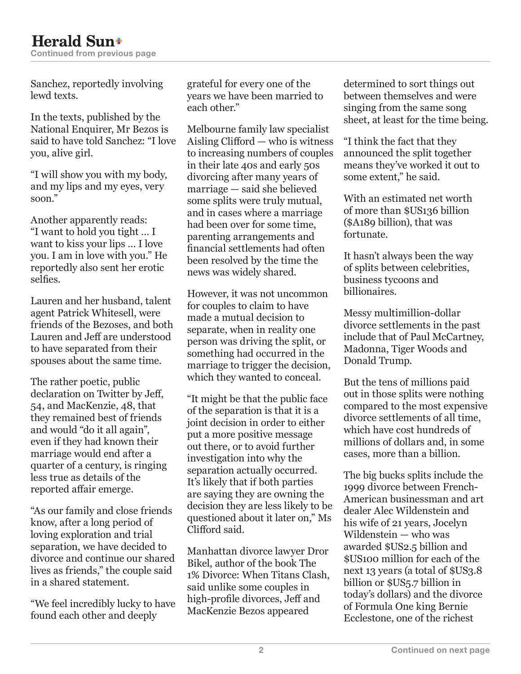Sanchez, reportedly involving lewd texts.

In the texts, published by the National Enquirer, Mr Bezos is said to have told Sanchez: "I love you, alive girl.

"I will show you with my body, and my lips and my eyes, very soon."

Another apparently reads: "I want to hold you tight … I want to kiss your lips … I love you. I am in love with you." He reportedly also sent her erotic selfies.

Lauren and her husband, talent agent Patrick Whitesell, were friends of the Bezoses, and both Lauren and Jeff are understood to have separated from their spouses about the same time.

The rather poetic, public declaration on Twitter by Jeff, 54, and MacKenzie, 48, that they remained best of friends and would "do it all again", even if they had known their marriage would end after a quarter of a century, is ringing less true as details of the reported affair emerge.

"As our family and close friends know, after a long period of loving exploration and trial separation, we have decided to divorce and continue our shared lives as friends," the couple said in a shared statement.

"We feel incredibly lucky to have found each other and deeply

grateful for every one of the years we have been married to each other."

Melbourne family law specialist Aisling Clifford — who is witness to increasing numbers of couples in their late 40s and early 50s divorcing after many years of marriage — said she believed some splits were truly mutual, and in cases where a marriage had been over for some time, parenting arrangements and financial settlements had often been resolved by the time the news was widely shared.

However, it was not uncommon for couples to claim to have made a mutual decision to separate, when in reality one person was driving the split, or something had occurred in the marriage to trigger the decision, which they wanted to conceal.

"It might be that the public face of the separation is that it is a joint decision in order to either put a more positive message out there, or to avoid further investigation into why the separation actually occurred. It's likely that if both parties are saying they are owning the decision they are less likely to be questioned about it later on," Ms Clifford said.

Manhattan divorce lawyer Dror Bikel, author of the book The 1% Divorce: When Titans Clash, said unlike some couples in high-profile divorces, Jeff and MacKenzie Bezos appeared

determined to sort things out between themselves and were singing from the same song sheet, at least for the time being.

"I think the fact that they announced the split together means they've worked it out to some extent," he said.

With an estimated net worth of more than \$US136 billion (\$A189 billion), that was fortunate.

It hasn't always been the way of splits between celebrities, business tycoons and billionaires.

Messy multimillion-dollar divorce settlements in the past include that of Paul McCartney, Madonna, Tiger Woods and Donald Trump.

But the tens of millions paid out in those splits were nothing compared to the most expensive divorce settlements of all time, which have cost hundreds of millions of dollars and, in some cases, more than a billion.

The big bucks splits include the 1999 divorce between French-American businessman and art dealer Alec Wildenstein and his wife of 21 years, Jocelyn Wildenstein — who was awarded \$US2.5 billion and \$US100 million for each of the next 13 years (a total of \$US3.8 billion or \$US5.7 billion in today's dollars) and the divorce of Formula One king Bernie Ecclestone, one of the richest